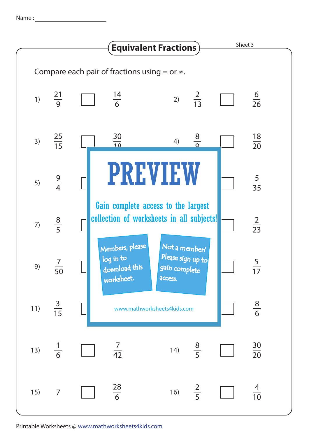